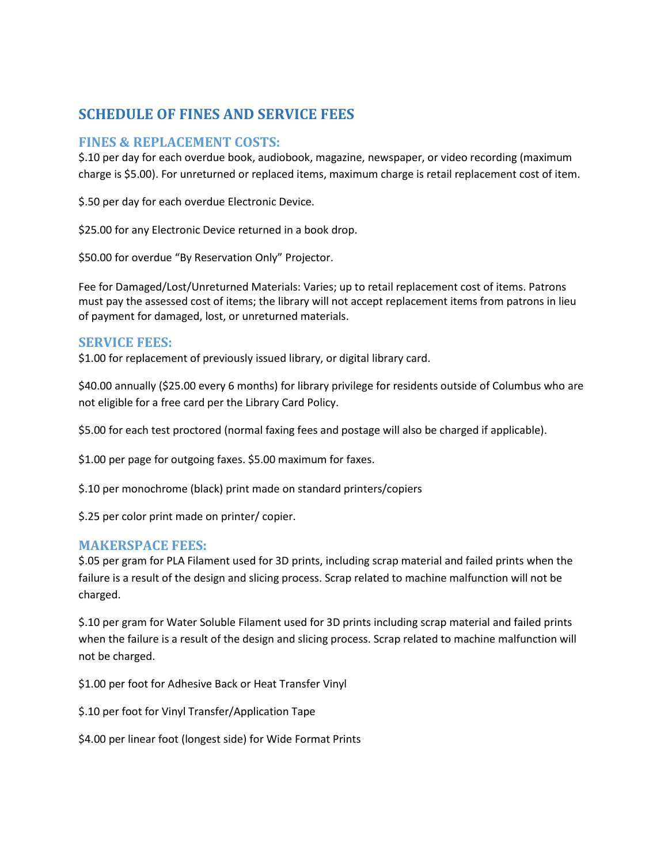# **SCHEDULE OF FINES AND SERVICE FEES**

### **FINES & REPLACEMENT COSTS:**

\$.10 per day for each overdue book, audiobook, magazine, newspaper, or video recording (maximum charge is \$5.00). For unreturned or replaced items, maximum charge is retail replacement cost of item.

\$.50 per day for each overdue Electronic Device.

\$25.00 for any Electronic Device returned in a book drop.

\$50.00 for overdue "By Reservation Only" Projector.

Fee for Damaged/Lost/Unreturned Materials: Varies; up to retail replacement cost of items. Patrons must pay the assessed cost of items; the library will not accept replacement items from patrons in lieu of payment for damaged, lost, or unreturned materials.

### **SERVICE FEES:**

\$1.00 for replacement of previously issued library, or digital library card.

\$40.00 annually (\$25.00 every 6 months) for library privilege for residents outside of Columbus who are not eligible for a free card per the Library Card Policy.

\$5.00 for each test proctored (normal faxing fees and postage will also be charged if applicable).

\$1.00 per page for outgoing faxes. \$5.00 maximum for faxes.

\$.10 per monochrome (black) print made on standard printers/copiers

\$.25 per color print made on printer/ copier.

### **MAKERSPACE FEES:**

\$.05 per gram for PLA Filament used for 3D prints, including scrap material and failed prints when the failure is a result of the design and slicing process. Scrap related to machine malfunction will not be charged.

\$.10 per gram for Water Soluble Filament used for 3D prints including scrap material and failed prints when the failure is a result of the design and slicing process. Scrap related to machine malfunction will not be charged.

\$1.00 per foot for Adhesive Back or Heat Transfer Vinyl

\$.10 per foot for Vinyl Transfer/Application Tape

\$4.00 per linear foot (longest side) for Wide Format Prints